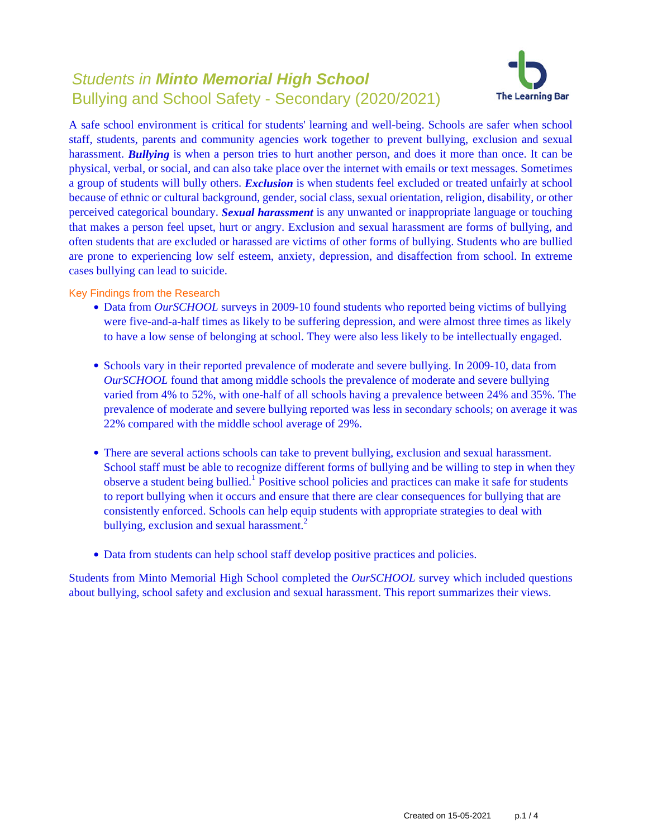# Students in **Minto Memorial High School** Bullying and School Safety - Secondary (2020/2021)



A safe school environment is critical for students' learning and well-being. Schools are safer when school staff, students, parents and community agencies work together to prevent bullying, exclusion and sexual harassment. **Bullying** is when a person tries to hurt another person, and does it more than once. It can be physical, verbal, or social, and can also take place over the internet with emails or text messages. Sometimes a group of students will bully others. *Exclusion* is when students feel excluded or treated unfairly at school because of ethnic or cultural background, gender, social class, sexual orientation, religion, disability, or other perceived categorical boundary. *Sexual harassment* is any unwanted or inappropriate language or touching that makes a person feel upset, hurt or angry. Exclusion and sexual harassment are forms of bullying, and often students that are excluded or harassed are victims of other forms of bullying. Students who are bullied are prone to experiencing low self esteem, anxiety, depression, and disaffection from school. In extreme cases bullying can lead to suicide.

Key Findings from the Research

- Data from *OurSCHOOL* surveys in 2009-10 found students who reported being victims of bullying were five-and-a-half times as likely to be suffering depression, and were almost three times as likely to have a low sense of belonging at school. They were also less likely to be intellectually engaged.
- Schools vary in their reported prevalence of moderate and severe bullying. In 2009-10, data from *OurSCHOOL* found that among middle schools the prevalence of moderate and severe bullying varied from 4% to 52%, with one-half of all schools having a prevalence between 24% and 35%. The prevalence of moderate and severe bullying reported was less in secondary schools; on average it was 22% compared with the middle school average of 29%.
- There are several actions schools can take to prevent bullying, exclusion and sexual harassment. School staff must be able to recognize different forms of bullying and be willing to step in when they observe a student being bullied.<sup>1</sup> Positive school policies and practices can make it safe for students to report bullying when it occurs and ensure that there are clear consequences for bullying that are consistently enforced. Schools can help equip students with appropriate strategies to deal with bullying, exclusion and sexual harassment.<sup>2</sup>
- Data from students can help school staff develop positive practices and policies.

Students from Minto Memorial High School completed the *OurSCHOOL* survey which included questions about bullying, school safety and exclusion and sexual harassment. This report summarizes their views.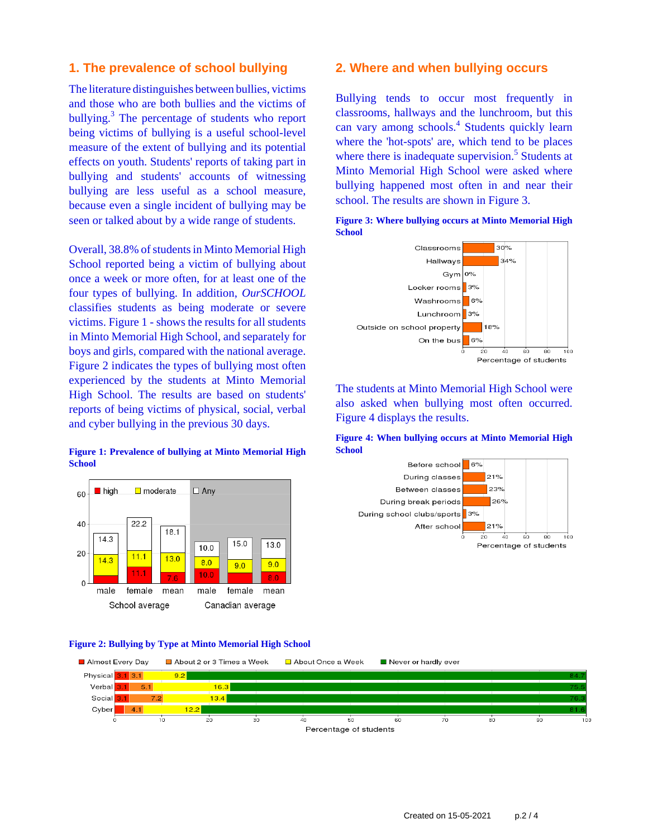# **1. The prevalence of school bullying**

The literature distinguishes between bullies, victims and those who are both bullies and the victims of bullying.<sup>3</sup> The percentage of students who report being victims of bullying is a useful school-level measure of the extent of bullying and its potential effects on youth. Students' reports of taking part in bullying and students' accounts of witnessing bullying are less useful as a school measure, because even a single incident of bullying may be seen or talked about by a wide range of students.

Overall, 38.8% of students in Minto Memorial High School reported being a victim of bullying about once a week or more often, for at least one of the four types of bullying. In addition, *OurSCHOOL* classifies students as being moderate or severe victims. Figure 1 - shows the results for all students in Minto Memorial High School, and separately for boys and girls, compared with the national average. Figure 2 indicates the types of bullying most often experienced by the students at Minto Memorial High School. The results are based on students' reports of being victims of physical, social, verbal and cyber bullying in the previous 30 days.

### **Figure 1: Prevalence of bullying at Minto Memorial High School**



#### **Figure 2: Bullying by Type at Minto Memorial High School**



### **2. Where and when bullying occurs**

Bullying tends to occur most frequently in classrooms, hallways and the lunchroom, but this can vary among schools.<sup>4</sup> Students quickly learn where the 'hot-spots' are, which tend to be places where there is inadequate supervision.<sup>5</sup> Students at Minto Memorial High School were asked where bullying happened most often in and near their school. The results are shown in Figure 3.





The students at Minto Memorial High School were also asked when bullying most often occurred. Figure 4 displays the results.

**Figure 4: When bullying occurs at Minto Memorial High School**

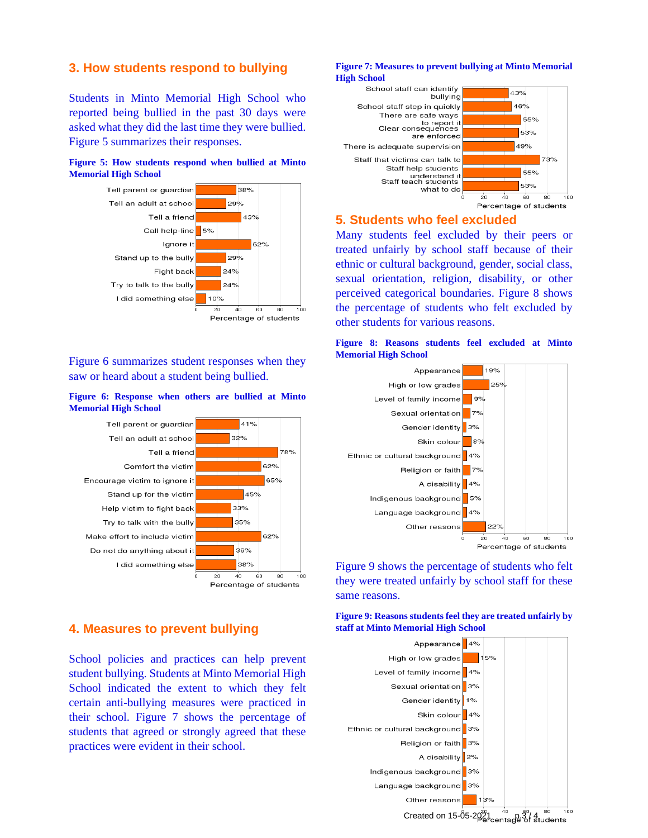# **3. How students respond to bullying**

Students in Minto Memorial High School who reported being bullied in the past 30 days were asked what they did the last time they were bullied. Figure 5 summarizes their responses.

### **Figure 5: How students respond when bullied at Minto Memorial High School**



Figure 6 summarizes student responses when they saw or heard about a student being bullied.

#### **Figure 6: Response when others are bullied at Minto Memorial High School**



# **4. Measures to prevent bullying**

School policies and practices can help prevent student bullying. Students at Minto Memorial High School indicated the extent to which they felt certain anti-bullying measures were practiced in their school. Figure 7 shows the percentage of students that agreed or strongly agreed that these practices were evident in their school.

#### **Figure 7: Measures to prevent bullying at Minto Memorial High School**



# **5. Students who feel excluded**

Many students feel excluded by their peers or treated unfairly by school staff because of their ethnic or cultural background, gender, social class, sexual orientation, religion, disability, or other perceived categorical boundaries. Figure 8 shows the percentage of students who felt excluded by other students for various reasons.

### **Figure 8: Reasons students feel excluded at Minto Memorial High School**



Figure 9 shows the percentage of students who felt they were treated unfairly by school staff for these same reasons.

**Figure 9: Reasons students feel they are treated unfairly by staff at Minto Memorial High School**